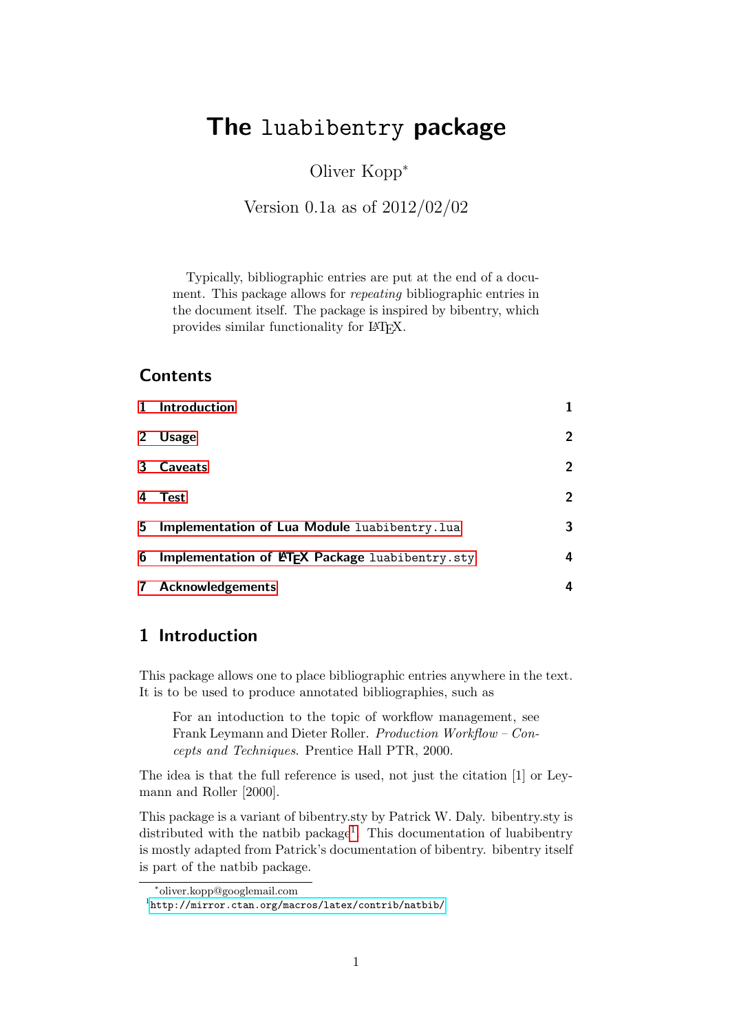# The luabibentry package

Oliver Kopp<sup>∗</sup>

Version 0.1a as of 2012/02/02

Typically, bibliographic entries are put at the end of a document. This package allows for repeating bibliographic entries in the document itself. The package is inspired by bibentry, which provides similar functionality for LATEX.

### **Contents**

|              | 1 Introduction                                  |                |
|--------------|-------------------------------------------------|----------------|
| $2^{\circ}$  | <b>Usage</b>                                    | $\overline{2}$ |
|              | 3 Caveats                                       | $\overline{2}$ |
| 4            | <b>Test</b>                                     | $\overline{2}$ |
| 5            | Implementation of Lua Module luabibentry. lua   | 3              |
| 6            | Implementation of LATEX Package luabibentry.sty | 4              |
| $\mathbf{7}$ | <b>Acknowledgements</b>                         | 4              |

### <span id="page-0-0"></span>1 Introduction

This package allows one to place bibliographic entries anywhere in the text. It is to be used to produce annotated bibliographies, such as

For an intoduction to the topic of workflow management, see Frank Leymann and Dieter Roller. Production Workflow – Concepts and Techniques. Prentice Hall PTR, 2000.

The idea is that the full reference is used, not just the citation [1] or Leymann and Roller [2000].

This package is a variant of bibentry.sty by Patrick W. Daly. bibentry.sty is distributed with the natbib package<sup>[1](#page-0-1)</sup>. This documentation of luabibentry is mostly adapted from Patrick's documentation of bibentry. bibentry itself is part of the natbib package.

<sup>∗</sup> oliver.kopp@googlemail.com

<span id="page-0-1"></span><sup>1</sup> <http://mirror.ctan.org/macros/latex/contrib/natbib/>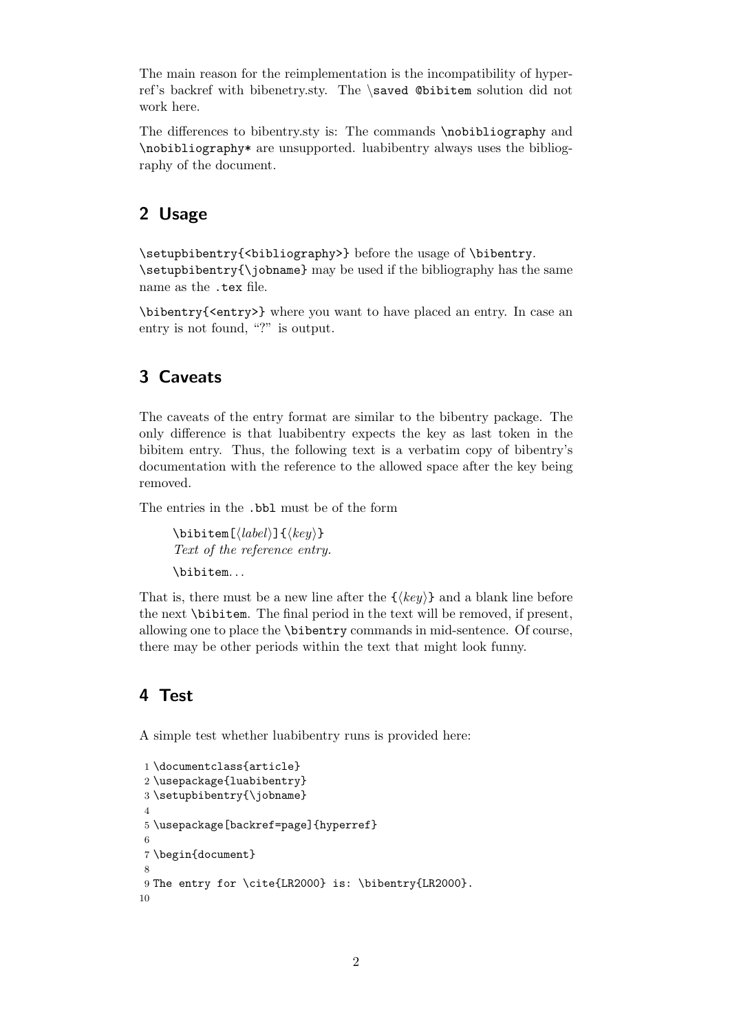The main reason for the reimplementation is the incompatibility of hyperref's backref with bibenetry.sty. The \saved @bibitem solution did not work here.

The differences to bibentry.sty is: The commands \nobibliography and \nobibliography\* are unsupported. luabibentry always uses the bibliography of the document.

# <span id="page-1-0"></span>2 Usage

\setupbibentry{<bibliography>} before the usage of \bibentry.  $\setminus$  setupbibentry $\setminus \setminus$  has the same be used if the bibliography has the same name as the .tex file.

\bibentry{<entry>} where you want to have placed an entry. In case an entry is not found, "?" is output.

### <span id="page-1-1"></span>3 Caveats

The caveats of the entry format are similar to the bibentry package. The only difference is that luabibentry expects the key as last token in the bibitem entry. Thus, the following text is a verbatim copy of bibentry's documentation with the reference to the allowed space after the key being removed.

The entries in the .bbl must be of the form

```
\bibitem[\langle label \rangle]{\langle key \rangle}
Text of the reference entry.
\bibitem. . .
```
That is, there must be a new line after the  $\{\langle key \rangle\}$  and a blank line before the next \bibitem. The final period in the text will be removed, if present, allowing one to place the \bibentry commands in mid-sentence. Of course, there may be other periods within the text that might look funny.

## <span id="page-1-2"></span>4 Test

A simple test whether luabibentry runs is provided here:

```
1 \documentclass{article}
2 \usepackage{luabibentry}
3 \setupbibentry{\jobname}
4
5 \usepackage[backref=page]{hyperref}
6
7 \begin{document}
8
9 The entry for \cite{LR2000} is: \bibentry{LR2000}.
10
```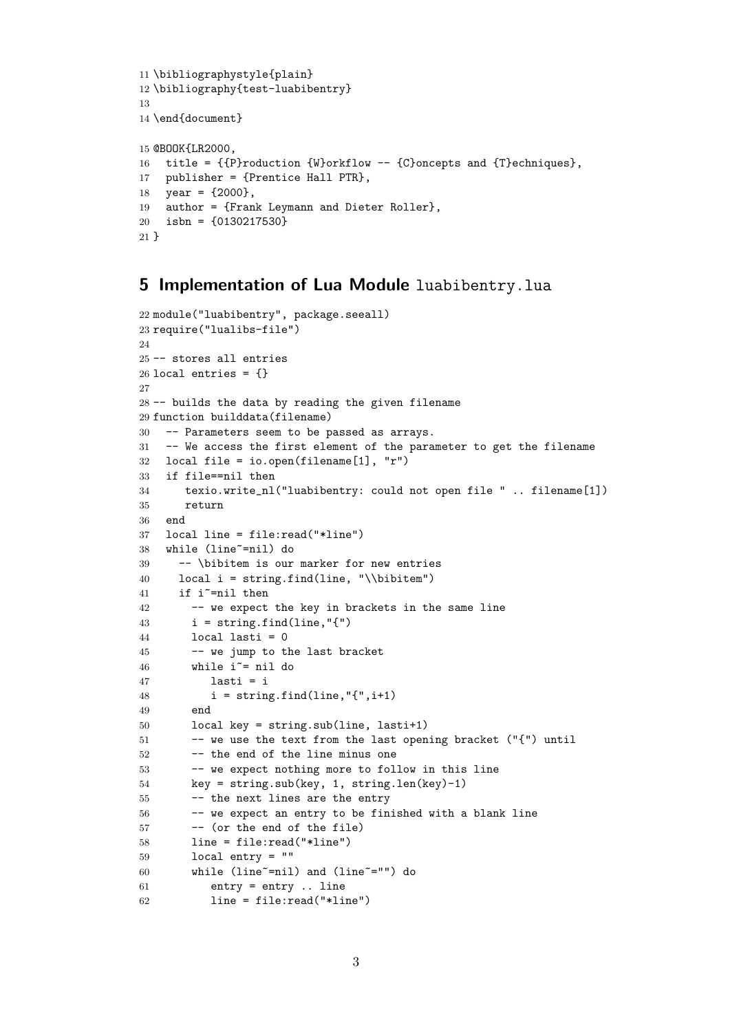```
11 \bibliographystyle{plain}
12 \bibliography{test-luabibentry}
13
14 \end{document}
15 @BOOK{LR2000,
16 title = {{P}roduction {W}orkflow -- {C}oncepts and {T}echniques},
17 publisher = {Prentice Hall PTR},
18 year = {2000},
19 author = {Frank Leymann and Dieter Roller},
20 isbn = {0130217530}
21 }
```
### <span id="page-2-0"></span>5 Implementation of Lua Module luabibentry.lua

```
22 module("luabibentry", package.seeall)
23 require("lualibs-file")
24
25 -- stores all entries
26 local entries = \{ \}27
28 -- builds the data by reading the given filename
29 function builddata(filename)
30 -- Parameters seem to be passed as arrays.
31 -- We access the first element of the parameter to get the filename
32 local file = io.open(filename[1], "r")
33 if file==nil then
34 texio.write_nl("luabibentry: could not open file " .. filename[1])
35 return
36 end
37 local line = file:read("*line")
38 while (line~=nil) do
39 -- \bibitem is our marker for new entries
40 local i = string.find(line, "\\bibitem")
41 if i~=nil then
42 -- we expect the key in brackets in the same line
43 i = string.find(line, "{''}44 local lasti = 0
45 -- we jump to the last bracket
46 while i^* = nil do
47 lasti = i
48 i = string.find(line, "{'', i+1})49 end
50 local key = string.sub(line, lasti+1)
51 -- we use the text from the last opening bracket ("{") until
52 -- the end of the line minus one
53 -- we expect nothing more to follow in this line
54 key = string.sub(key, 1, string.len(key)-1)
55 -- the next lines are the entry
56 -- we expect an entry to be finished with a blank line
57 -- (or the end of the file)
58 line = file:read("*line")
59 local entry = ""
60 while (line~=nil) and (line~="") do
61 entry = entry .. line
62 line = file:read("*line")
```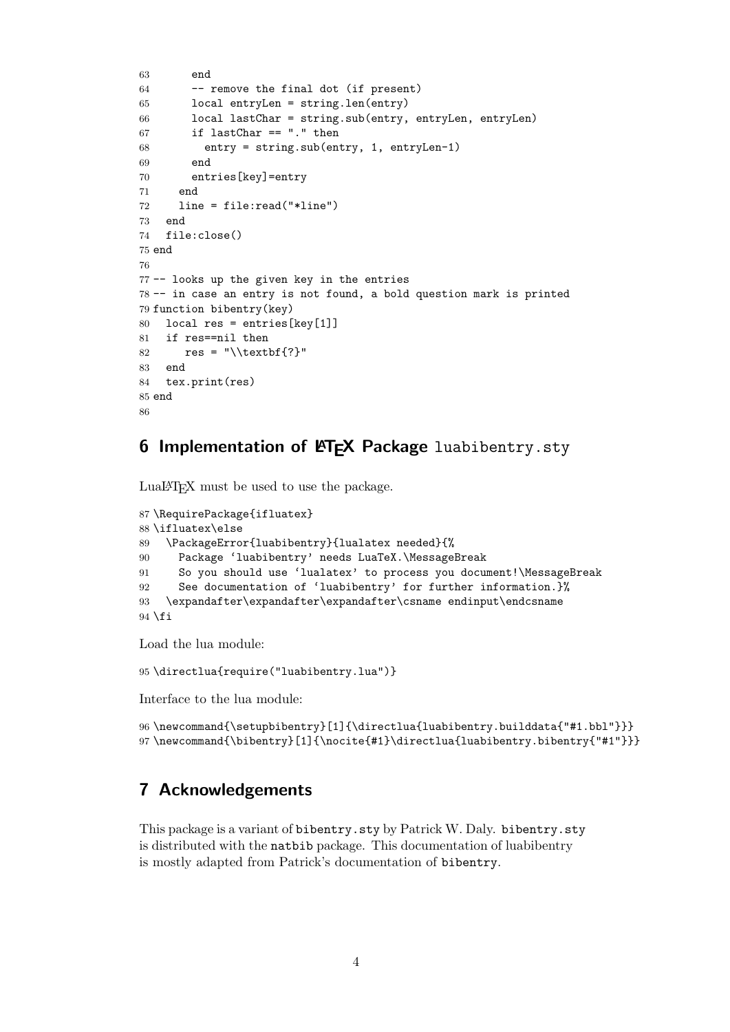```
63 end
64 -- remove the final dot (if present)
65 local entryLen = string.len(entry)
66 local lastChar = string.sub(entry, entryLen, entryLen)
67 if lastChar == "." then
68 entry = string.sub(entry, 1, entryLen-1)
69 end
70 entries[key]=entry
71 end
72 line = file:read("*line")
73 end
74 file:close()
75 end
76
77 -- looks up the given key in the entries
78 -- in case an entry is not found, a bold question mark is printed
79 function bibentry(key)
80 local res = entries[key[1]]
81 if res==nil then
82 res = "\\textbf{?}"
83 end
84 tex.print(res)
85 end
86
```
### <span id="page-3-0"></span>6 Implementation of  $\mathsf{ETr} X$  Package luabibentry.sty

LuaLATEX must be used to use the package.

```
87 \RequirePackage{ifluatex}
88 \ifluatex\else
89 \PackageError{luabibentry}{lualatex needed}{%
90 Package 'luabibentry' needs LuaTeX.\MessageBreak
91 So you should use 'lualatex' to process you document!\MessageBreak
92 See documentation of 'luabibentry' for further information.}%
93 \expandafter\expandafter\expandafter\csname endinput\endcsname
94 \fi
```
Load the lua module:

\directlua{require("luabibentry.lua")}

Interface to the lua module:

```
96 \newcommand{\setupbibentry}[1]{\directlua{luabibentry.builddata{"#1.bbl"}}}
97 \newcommand{\bibentry}[1]{\nocite{#1}\directlua{luabibentry.bibentry{"#1"}}}
```
### <span id="page-3-1"></span>7 Acknowledgements

This package is a variant of bibentry.sty by Patrick W. Daly. bibentry.sty is distributed with the natbib package. This documentation of luabibentry is mostly adapted from Patrick's documentation of bibentry.